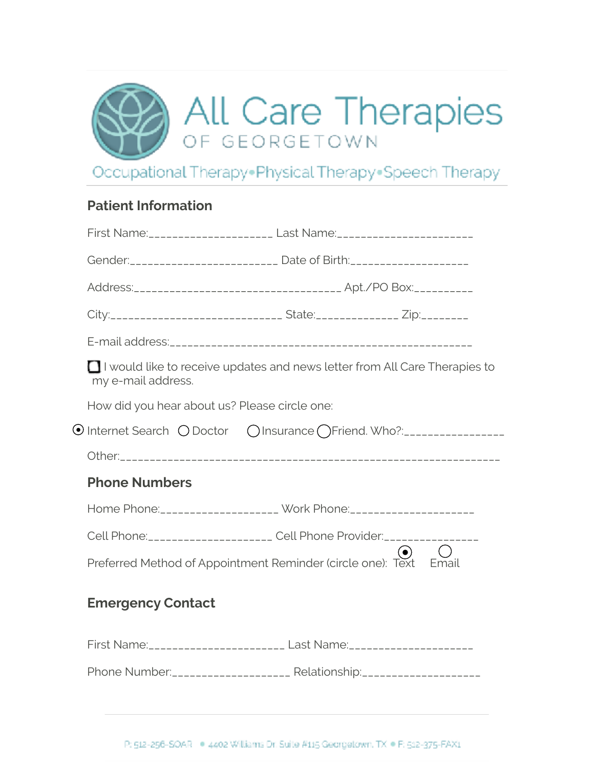|  |  | <b>SPAIL Care Therapies</b> |
|--|--|-----------------------------|
|--|--|-----------------------------|

Occupational Therapy. Physical Therapy. Speech Therapy

# **Patient Information**

|                      |                          | Gender:_________________________ Date of Birth:____________________              |       |
|----------------------|--------------------------|----------------------------------------------------------------------------------|-------|
|                      |                          |                                                                                  |       |
|                      |                          | City:______________________________ State:____________ Zip:_________             |       |
|                      |                          |                                                                                  |       |
| my e-mail address.   |                          | □ I would like to receive updates and news letter from All Care Therapies to     |       |
|                      |                          | How did you hear about us? Please circle one:                                    |       |
|                      |                          |                                                                                  |       |
|                      |                          |                                                                                  |       |
| <b>Phone Numbers</b> |                          |                                                                                  |       |
|                      |                          |                                                                                  |       |
|                      |                          | Cell Phone: _____________________ Cell Phone Provider: _______                   |       |
|                      |                          | Preferred Method of Appointment Reminder (circle one): Text                      | Email |
|                      | <b>Emergency Contact</b> |                                                                                  |       |
|                      |                          | First Name: ________________________ Last Name: ________________________________ |       |
|                      |                          | Phone Number: _____________________ Relationship: _____________________          |       |
|                      |                          |                                                                                  |       |
|                      |                          |                                                                                  |       |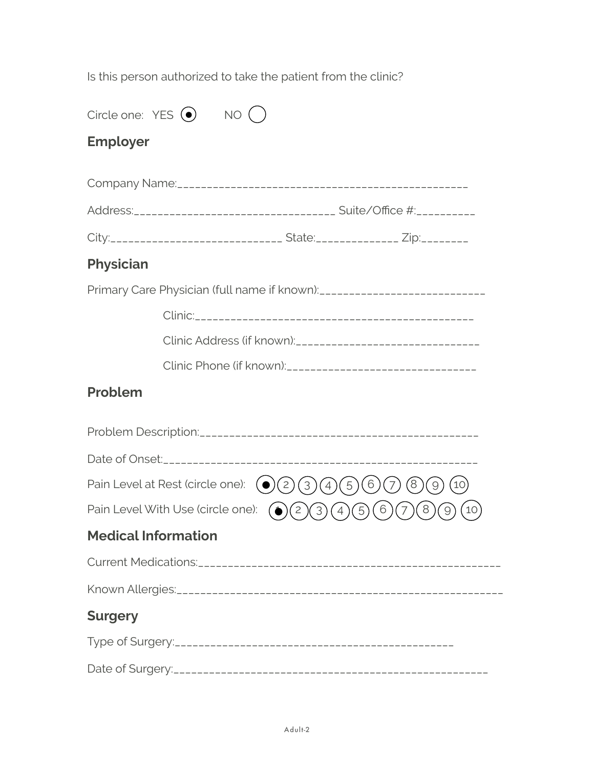Is this person authorized to take the patient from the clinic?

| Circle one: $YES$ $\bullet$ )                                                                                     | <b>NO</b>                                                                        |  |
|-------------------------------------------------------------------------------------------------------------------|----------------------------------------------------------------------------------|--|
| <b>Employer</b>                                                                                                   |                                                                                  |  |
|                                                                                                                   |                                                                                  |  |
|                                                                                                                   | Address:__________________________________ Suite/Office #:__________             |  |
|                                                                                                                   | City:______________________________ State:____________ Zip:_________             |  |
| <b>Physician</b>                                                                                                  |                                                                                  |  |
|                                                                                                                   | Primary Care Physician (full name if known): ___________________________________ |  |
|                                                                                                                   |                                                                                  |  |
|                                                                                                                   |                                                                                  |  |
|                                                                                                                   |                                                                                  |  |
| Problem                                                                                                           |                                                                                  |  |
|                                                                                                                   |                                                                                  |  |
|                                                                                                                   |                                                                                  |  |
| Pain Level at Rest (circle one):<br>6<br>(2)<br>(3)<br>$\left(\bullet\right)$<br>$\left(4\right)$<br>5<br>8<br>10 |                                                                                  |  |
| Pain Level With Use (circle one):<br>$\overline{c}$                                                               |                                                                                  |  |
| <b>Medical Information</b>                                                                                        |                                                                                  |  |
|                                                                                                                   |                                                                                  |  |
|                                                                                                                   |                                                                                  |  |
| <b>Surgery</b>                                                                                                    |                                                                                  |  |
|                                                                                                                   |                                                                                  |  |
|                                                                                                                   |                                                                                  |  |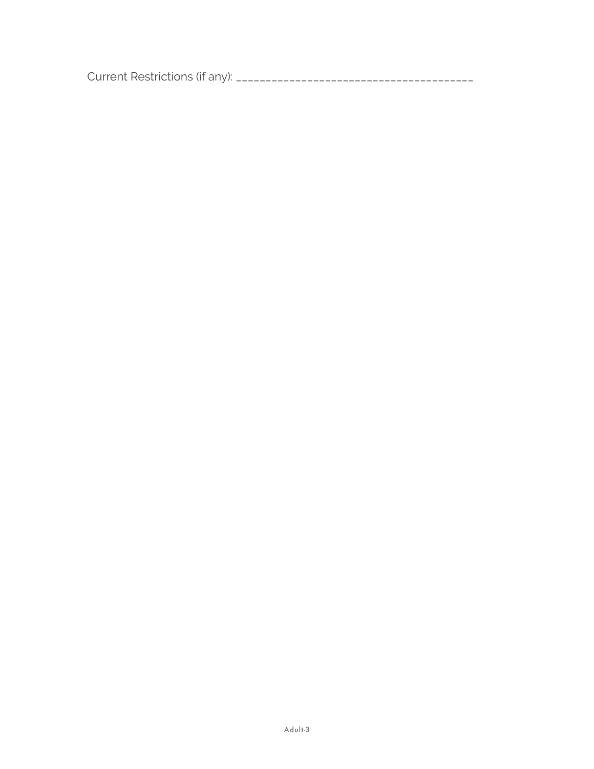Current Restrictions (if any): \_\_\_\_\_\_\_\_\_\_\_\_\_\_\_\_\_\_\_\_\_\_\_\_\_\_\_\_\_\_\_\_\_\_\_\_\_\_\_\_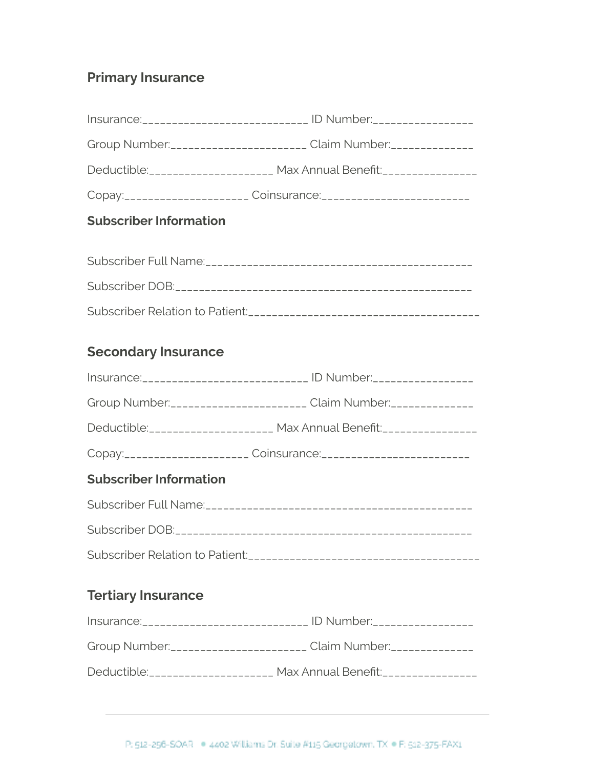## **Primary Insurance**

| Insurance: _____________________________ ID Number: ____________________________ |
|----------------------------------------------------------------------------------|
| Group Number: ________________________ Claim Number: ______________              |
| Deductible: ____________________ Max Annual Benefit: ___________________________ |
| Copay:______________________ Coinsurance:___________________________             |

## **Subscriber Information**

## **Secondary Insurance**

| Insurance: _____________________________ ID Number: ____________________________ |
|----------------------------------------------------------------------------------|
| Group Number: ________________________ Claim Number: ______________              |
| Deductible: _____________________ Max Annual Benefit: ____________________       |
| Copay:_______________________ Coinsurance:___________________________            |

## **Subscriber Information**

| Subscriber DOB:________________________________ |
|-------------------------------------------------|
|                                                 |

# **Tertiary Insurance**

| Insurance: ______________________________ | . ID Number:_________________                                    |
|-------------------------------------------|------------------------------------------------------------------|
|                                           | Group Number:_______________________ Claim Number:______________ |
| Deductible:____________________           | Max Annual Benefit: ________________                             |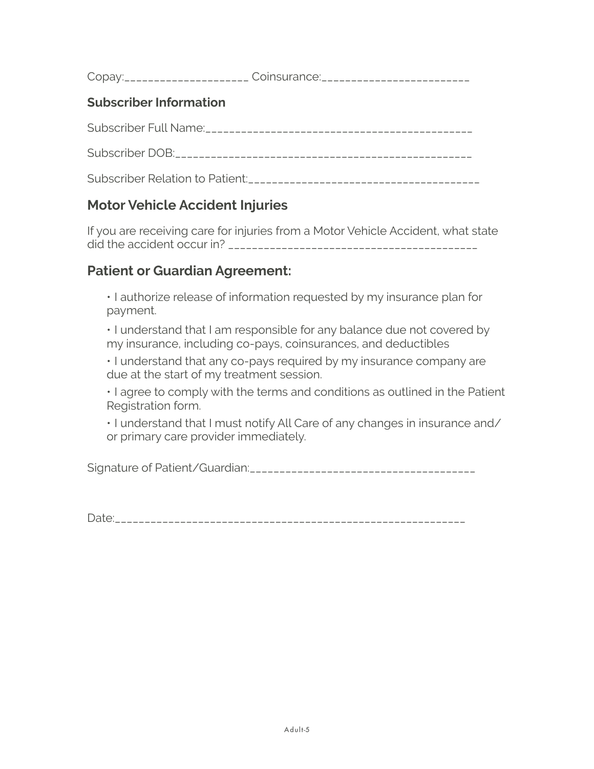Copay:\_\_\_\_\_\_\_\_\_\_\_\_\_\_\_\_\_\_\_\_\_ Coinsurance:\_\_\_\_\_\_\_\_\_\_\_\_\_\_\_\_\_\_\_\_\_\_\_\_\_

#### **Subscriber Information**

Subscriber Full Name:\_\_\_\_\_\_\_\_\_\_\_\_\_\_\_\_\_\_\_\_\_\_\_\_\_\_\_\_\_\_\_\_\_\_\_\_\_\_\_\_\_\_\_\_\_

Subscriber DOB:\_\_\_\_\_\_\_\_\_\_\_\_\_\_\_\_\_\_\_\_\_\_\_\_\_\_\_\_\_\_\_\_\_\_\_\_\_\_\_\_\_\_\_\_\_\_\_\_\_\_

Subscriber Relation to Patient:\_\_\_\_\_\_\_\_\_\_\_\_\_\_\_\_\_\_\_\_\_\_\_\_\_\_\_\_\_\_\_\_\_\_\_\_\_\_\_

### **Motor Vehicle Accident Injuries**

If you are receiving care for injuries from a Motor Vehicle Accident, what state did the accident occur in? \_\_\_\_\_\_\_\_\_\_\_\_\_\_\_\_\_\_\_\_\_\_\_\_\_\_\_\_\_\_\_\_\_\_\_\_\_\_\_\_\_\_

### **Patient or Guardian Agreement:**

• I authorize release of information requested by my insurance plan for payment.

• I understand that I am responsible for any balance due not covered by my insurance, including co-pays, coinsurances, and deductibles

• I understand that any co-pays required by my insurance company are due at the start of my treatment session.

• I agree to comply with the terms and conditions as outlined in the Patient Registration form.

• I understand that I must notify All Care of any changes in insurance and/ or primary care provider immediately.

Signature of Patient/Guardian:\_\_\_\_\_\_\_\_\_\_\_\_\_\_\_\_\_\_\_\_\_\_\_\_\_\_\_\_\_\_\_\_\_\_\_\_\_\_

Date:\_\_\_\_\_\_\_\_\_\_\_\_\_\_\_\_\_\_\_\_\_\_\_\_\_\_\_\_\_\_\_\_\_\_\_\_\_\_\_\_\_\_\_\_\_\_\_\_\_\_\_\_\_\_\_\_\_\_\_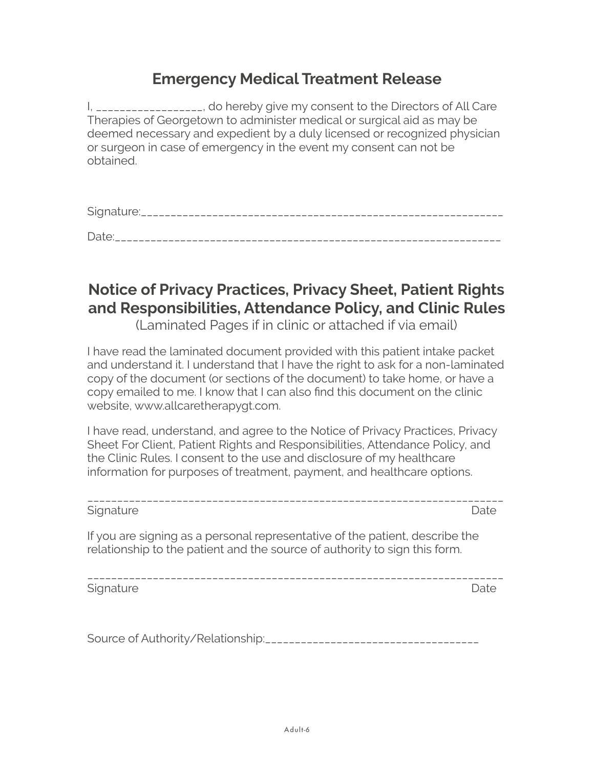## **Emergency Medical Treatment Release**

I, \_\_\_\_\_\_\_\_\_\_\_\_\_\_\_\_, do hereby give my consent to the Directors of All Care Therapies of Georgetown to administer medical or surgical aid as may be deemed necessary and expedient by a duly licensed or recognized physician or surgeon in case of emergency in the event my consent can not be obtained.

Signature:\_\_\_\_\_\_\_\_\_\_\_\_\_\_\_\_\_\_\_\_\_\_\_\_\_\_\_\_\_\_\_\_\_\_\_\_\_\_\_\_\_\_\_\_\_\_\_\_\_\_\_\_\_\_\_\_\_\_\_\_\_

Date:\_\_\_\_\_\_\_\_\_\_\_\_\_\_\_\_\_\_\_\_\_\_\_\_\_\_\_\_\_\_\_\_\_\_\_\_\_\_\_\_\_\_\_\_\_\_\_\_\_\_\_\_\_\_\_\_\_\_\_\_\_\_\_\_\_

# **Notice of Privacy Practices, Privacy Sheet, Patient Rights and Responsibilities, Attendance Policy, and Clinic Rules**

(Laminated Pages if in clinic or attached if via email)

I have read the laminated document provided with this patient intake packet and understand it. I understand that I have the right to ask for a non-laminated copy of the document (or sections of the document) to take home, or have a copy emailed to me. I know that I can also find this document on the clinic website, www.allcaretherapygt.com.

I have read, understand, and agree to the Notice of Privacy Practices, Privacy Sheet For Client, Patient Rights and Responsibilities, Attendance Policy, and the Clinic Rules. I consent to the use and disclosure of my healthcare information for purposes of treatment, payment, and healthcare options.

\_\_\_\_\_\_\_\_\_\_\_\_\_\_\_\_\_\_\_\_\_\_\_\_\_\_\_\_\_\_\_\_\_\_\_\_\_\_\_\_\_\_\_\_\_\_\_\_\_\_\_\_\_\_\_\_\_\_\_\_\_\_\_\_\_\_\_\_\_\_ Signature Date

If you are signing as a personal representative of the patient, describe the relationship to the patient and the source of authority to sign this form.

\_\_\_\_\_\_\_\_\_\_\_\_\_\_\_\_\_\_\_\_\_\_\_\_\_\_\_\_\_\_\_\_\_\_\_\_\_\_\_\_\_\_\_\_\_\_\_\_\_\_\_\_\_\_\_\_\_\_\_\_\_\_\_\_\_\_\_\_\_\_

Signature Date **Date** 

Source of Authority/Relationship:\_\_\_\_\_\_\_\_\_\_\_\_\_\_\_\_\_\_\_\_\_\_\_\_\_\_\_\_\_\_\_\_\_\_\_\_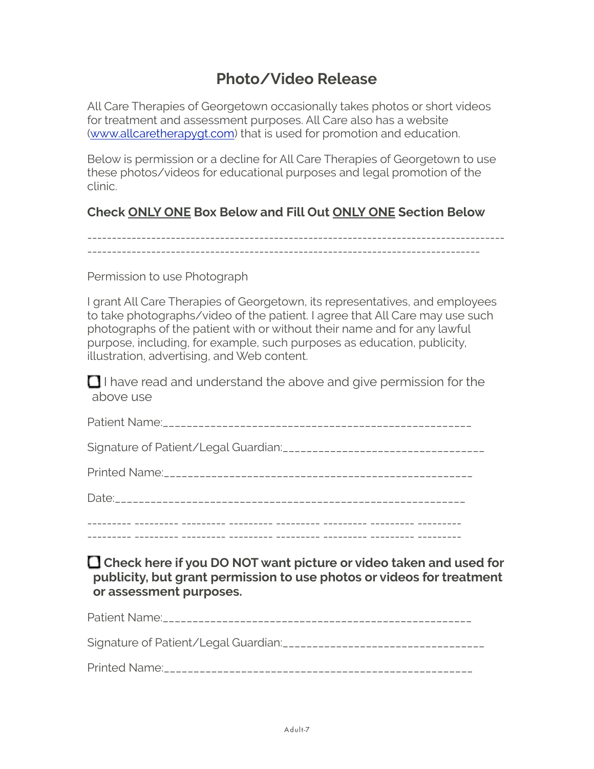# **Photo/Video Release**

All Care Therapies of Georgetown occasionally takes photos or short videos for treatment and assessment purposes. All Care also has a website [\(www.allcaretherapygt.com\)](http://www.allcaretherapygt.com) that is used for promotion and education.

Below is permission or a decline for All Care Therapies of Georgetown to use these photos/videos for educational purposes and legal promotion of the clinic.

#### **Check ONLY ONE Box Below and Fill Out ONLY ONE Section Below**

------------------------------------------------------------------------------------- --------------------------------------------------------------------------------

Permission to use Photograph

I grant All Care Therapies of Georgetown, its representatives, and employees to take photographs/video of the patient. I agree that All Care may use such photographs of the patient with or without their name and for any lawful purpose, including, for example, such purposes as education, publicity, illustration, advertising, and Web content.

 $\Box$  I have read and understand the above and give permission for the above use

**Check here if you DO NOT want picture or video taken and used for publicity, but grant permission to use photos or videos for treatment or assessment purposes.**

Patient Name:\_\_\_\_\_\_\_\_\_\_\_\_\_\_\_\_\_\_\_\_\_\_\_\_\_\_\_\_\_\_\_\_\_\_\_\_\_\_\_\_\_\_\_\_\_\_\_\_\_\_\_\_

Signature of Patient/Legal Guardian:\_\_\_\_\_\_\_\_\_\_\_\_\_\_\_\_\_\_\_\_\_\_\_\_\_\_\_\_\_\_\_\_\_\_

Printed Name:\_\_\_\_\_\_\_\_\_\_\_\_\_\_\_\_\_\_\_\_\_\_\_\_\_\_\_\_\_\_\_\_\_\_\_\_\_\_\_\_\_\_\_\_\_\_\_\_\_\_\_\_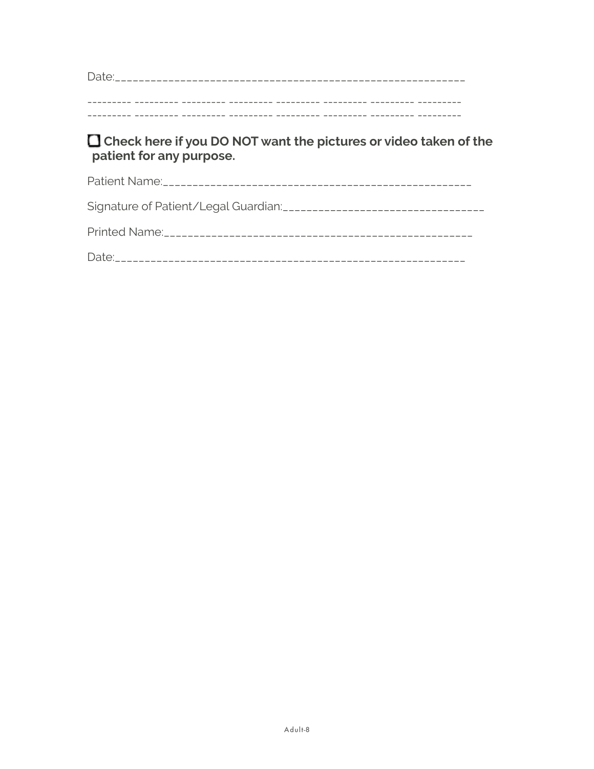#### □ Check here if you DO NOT want the pictures or video taken of the patient for any purpose.

| $\sim$ $\sim$ $\sim$ $\sim$ $\sim$ $\sim$ |  |
|-------------------------------------------|--|
|                                           |  |